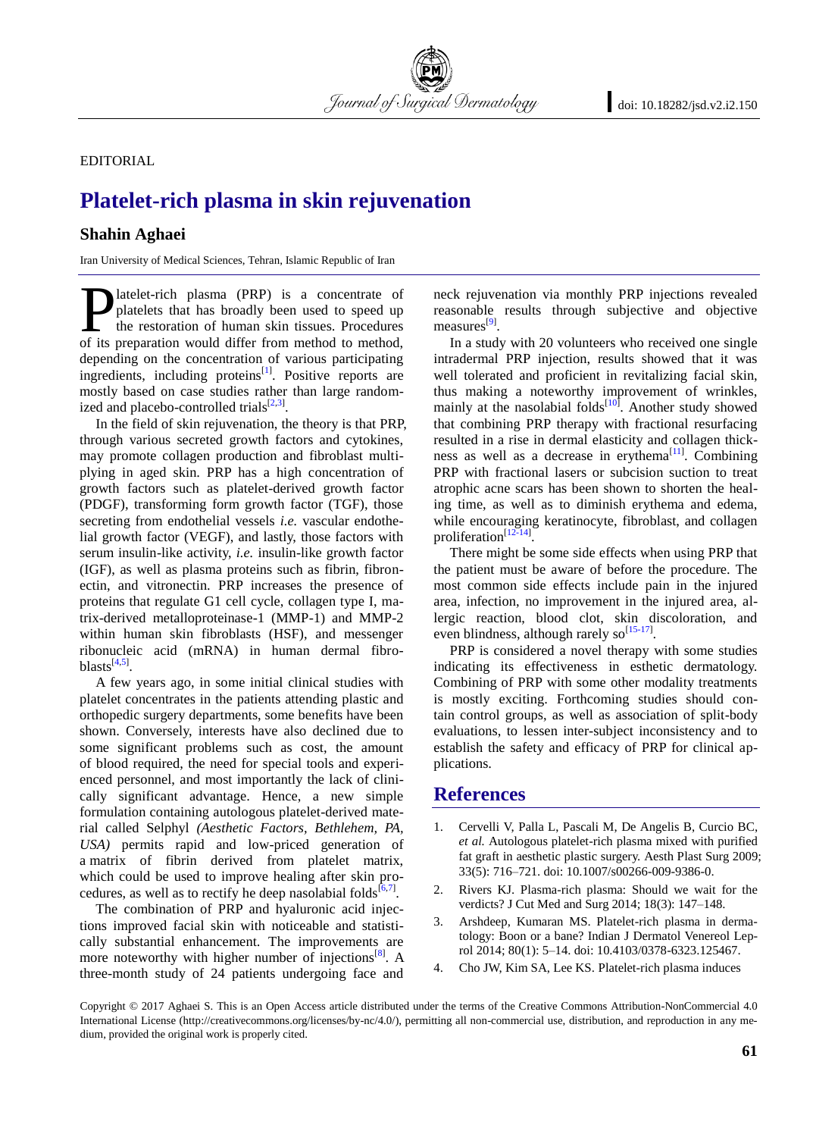EDITORIAL

## **Platelet-rich plasma in skin rejuvenation**

Journal of Surgical Dermatology

## **Shahin Aghaei**

Iran University of Medical Sciences, Tehran, Islamic Republic of Iran

latelet-rich plasma (PRP) is a concentrate of platelets that has broadly been used to speed up the restoration of human skin tissues. Procedures **D** latelet-rich plasma (PRP) is a concentrate of platelets that has broadly been used to speed up the restoration of human skin tissues. Procedures of its preparation would differ from method to method, depending on the concentration of various participating ingredients, including proteins<sup>[\[1\]](#page-0-0)</sup>. Positive reports are mostly based on case studies rather than large randomized and placebo-controlled trials $^{[2,3]}$  $^{[2,3]}$  $^{[2,3]}$  $^{[2,3]}$ .

In the field of skin rejuvenation, the theory is that PRP, through various secreted growth factors and cytokines, may promote collagen production and fibroblast multiplying in aged skin. PRP has a high concentration of growth factors such as platelet-derived growth factor (PDGF), transforming form growth factor (TGF), those secreting from endothelial vessels *i.e.* vascular endothelial growth factor (VEGF), and lastly, those factors with serum insulin-like activity, *i.e.* insulin-like growth factor (IGF), as well as plasma proteins such as fibrin, fibronectin, and vitronectin. PRP increases the presence of proteins that regulate G1 cell cycle, collagen type I, matrix-derived metalloproteinase-1 (MMP-1) and MMP-2 within human skin fibroblasts (HSF), and messenger ribonucleic acid (mRNA) in human dermal fibroblasts $^{[4,5]}$  $^{[4,5]}$  $^{[4,5]}$  $^{[4,5]}$ .

A few years ago, in some initial clinical studies with platelet concentrates in the patients attending plastic and orthopedic surgery departments, some benefits have been shown. Conversely, interests have also declined due to some significant problems such as cost, the amount of blood required, the need for special tools and experienced personnel, and most importantly the lack of clinically significant advantage. Hence, a new simple formulation containing autologous platelet-derived material called Selphyl *(Aesthetic Factors, Bethlehem, PA, USA)* permits rapid and low-priced generation of a matrix of fibrin derived from platelet matrix, which could be used to improve healing after skin procedures, as well as to rectify he deep nasolabial folds $[6,7]$  $[6,7]$ .

The combination of PRP and hyaluronic acid injections improved facial skin with noticeable and statistically substantial enhancement. The improvements are more noteworthy with higher number of injections<sup>[\[8\]](#page-1-3)</sup>. A three-month study of 24 patients undergoing face and

neck rejuvenation via monthly PRP injections revealed reasonable results through subjective and objective measures<sup>[\[9\]](#page-1-4)</sup>.

In a study with 20 volunteers who received one single intradermal PRP injection, results showed that it was well tolerated and proficient in revitalizing facial skin, thus making a noteworthy improvement of wrinkles, mainly at the nasolabial folds<sup>[\[10\]](#page-1-5)</sup>. Another study showed that combining PRP therapy with fractional resurfacing resulted in a rise in dermal elasticity and collagen thickness as well as a decrease in erythema $^{[11]}$  $^{[11]}$  $^{[11]}$ . Combining PRP with fractional lasers or subcision suction to treat atrophic acne scars has been shown to shorten the healing time, as well as to diminish erythema and edema, while encouraging keratinocyte, fibroblast, and collagen proliferation<sup>[\[12-14\]](#page-1-7)</sup>.

There might be some side effects when using PRP that the patient must be aware of before the procedure. The most common side effects include pain in the injured area, infection, no improvement in the injured area, allergic reaction, blood clot, skin discoloration, and even blindness, although rarely  $so^{[15-17]}$  $so^{[15-17]}$  $so^{[15-17]}$ .

PRP is considered a novel therapy with some studies indicating its effectiveness in esthetic dermatology. Combining of PRP with some other modality treatments is mostly exciting. Forthcoming studies should contain control groups, as well as association of split-body evaluations, to lessen inter-subject inconsistency and to establish the safety and efficacy of PRP for clinical applications.

## **References**

- <span id="page-0-0"></span>1. [Cervelli V,](https://www.ncbi.nlm.nih.gov/pubmed/?term=Cervelli%20V%5BAuthor%5D&cauthor=true&cauthor_uid=19588189) [Palla L,](https://www.ncbi.nlm.nih.gov/pubmed/?term=Palla%20L%5BAuthor%5D&cauthor=true&cauthor_uid=19588189) [Pascali M,](https://www.ncbi.nlm.nih.gov/pubmed/?term=Pascali%20M%5BAuthor%5D&cauthor=true&cauthor_uid=19588189) [De Angelis B,](https://www.ncbi.nlm.nih.gov/pubmed/?term=De%20Angelis%20B%5BAuthor%5D&cauthor=true&cauthor_uid=19588189) [Curcio BC,](https://www.ncbi.nlm.nih.gov/pubmed/?term=Curcio%20BC%5BAuthor%5D&cauthor=true&cauthor_uid=19588189)  *et al.* Autologous platelet-rich plasma mixed with purified fat graft in aesthetic plastic surgery. Aesth Plast Surg 2009; 33(5): 716–721. doi: 10.1007/s00266-009-9386-0.
- <span id="page-0-1"></span>2. Rivers KJ. Plasma-rich plasma: Should we wait for the verdicts? J Cut Med and Surg 2014; 18(3): 147–148.
- <span id="page-0-2"></span>3. Arshdeep, Kumaran MS. Platelet-rich plasma in dermatology: Boon or a bane? Indian J Dermatol Venereol Leprol 2014; 80(1): 5–14. doi: 10.4103/0378-6323.125467.
- <span id="page-0-3"></span>4. Cho JW, Kim SA, Lee KS. Platelet-rich plasma induces

Copyright © 2017 Aghaei S. This is an Open Access article distributed under the terms of the Creative Commons Attribution-NonCommercial 4.0 International License (http://creativecommons.org/licenses/by-nc/4.0/), permitting all non-commercial use, distribution, and reproduction in any medium, provided the original work is properly cited.